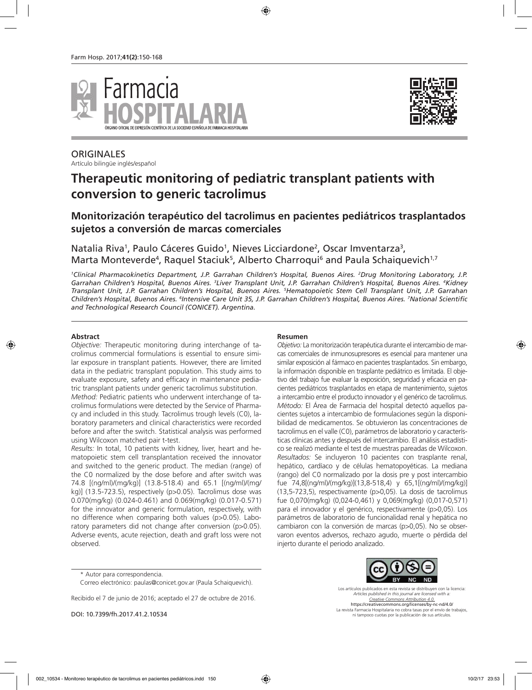



# **ORIGINALES**

Artículo bilingüe inglés/español

# **Therapeutic monitoring of pediatric transplant patients with conversion to generic tacrolimus**

# **Monitorización terapéutico del tacrolimus en pacientes pediátricos trasplantados sujetos a conversión de marcas comerciales**

Natalia Riva<sup>1</sup>, Paulo Cáceres Guido<sup>1</sup>, Nieves Licciardone<sup>2</sup>, Oscar Imventarza<sup>3</sup>, Marta Monteverde<sup>4</sup>, Raquel Staciuk<sup>5</sup>, Alberto Charroqui<sup>6</sup> and Paula Schaiquevich<sup>1,7</sup>

*1 Clinical Pharmacokinetics Department, J.P. Garrahan Children's Hospital, Buenos Aires. 2 Drug Monitoring Laboratory, J.P. Garrahan Children's Hospital, Buenos Aires. 3 Liver Transplant Unit, J.P. Garrahan Children's Hospital, Buenos Aires. 4 Kidney Transplant Unit, J.P. Garrahan Children's Hospital, Buenos Aires. 5 Hematopoietic Stem Cell Transplant Unit, J.P. Garrahan Children's Hospital, Buenos Aires. 6 Intensive Care Unit 35, J.P. Garrahan Children's Hospital, Buenos Aires. 7 National Scientific and Technological Research Council (CONICET). Argentina.*

# **Abstract**

*Objective:* Therapeutic monitoring during interchange of tacrolimus commercial formulations is essential to ensure similar exposure in transplant patients. However, there are limited data in the pediatric transplant population. This study aims to evaluate exposure, safety and efficacy in maintenance pediatric transplant patients under generic tacrolimus substitution.

*Method:* Pediatric patients who underwent interchange of tacrolimus formulations were detected by the Service of Pharmacy and included in this study. Tacrolimus trough levels (C0), laboratory parameters and clinical characteristics were recorded before and after the switch. Statistical analysis was performed using Wilcoxon matched pair t-test.

*Results:* In total, 10 patients with kidney, liver, heart and hematopoietic stem cell transplantation received the innovator and switched to the generic product. The median (range) of the C0 normalized by the dose before and after switch was 74.8 [(ng/ml)/(mg/kg)] (13.8-518.4) and 65.1 [(ng/ml)/(mg/ kg)] (13.5-723.5), respectively (p>0.05). Tacrolimus dose was 0.070(mg/kg) (0.024-0.461) and 0.069(mg/kg) (0.017-0.571) for the innovator and generic formulation, respectively, with no difference when comparing both values (p>0.05). Laboratory parameters did not change after conversion (p>0.05). Adverse events, acute rejection, death and graft loss were not observed.

#### **Resumen**

*Objetivo:* La monitorización terapéutica durante el intercambio de marcas comerciales de inmunosupresores es esencial para mantener una similar exposición al fármaco en pacientes trasplantados. Sin embargo, la información disponible en trasplante pediátrico es limitada. El objetivo del trabajo fue evaluar la exposición, seguridad y eficacia en pacientes pediátricos trasplantados en etapa de mantenimiento, sujetos a intercambio entre el producto innovador y el genérico de tacrolimus. *Método:* El Área de Farmacia del hospital detectó aquellos pacientes sujetos a intercambio de formulaciones según la disponibilidad de medicamentos. Se obtuvieron las concentraciones de tacrolimus en el valle (C0), parámetros de laboratorio y características clínicas antes y después del intercambio. El análisis estadístico se realizó mediante el test de muestras pareadas de Wilcoxon. *Resultados:* Se incluyeron 10 pacientes con trasplante renal, hepático, cardíaco y de células hematopoyéticas. La mediana (rango) del C0 normalizado por la dosis pre y post intercambio fue 74,8[(ng/ml)/(mg/kg)](13,8-518,4) y 65,1[(ng/ml)/(mg/kg)] (13,5-723,5), respectivamente (p>0,05). La dosis de tacrolimus fue 0,070(mg/kg) (0,024-0,461) y 0,069(mg/kg) (0,017-0,571) para el innovador y el genérico, respectivamente (p>0,05). Los parámetros de laboratorio de funcionalidad renal y hepática no cambiaron con la conversión de marcas (p>0,05). No se observaron eventos adversos, rechazo agudo, muerte o pérdida del injerto durante el periodo analizado.

Recibido el 7 de junio de 2016; aceptado el 27 de octubre de 2016.

DOI: 10.7399/fh.2017.41.2.10534



Los artículos publicados en esta revista se distribuyen con la licencia: *Articles published in this journal are licensed with a: Creative Commons Attribution 4.0.* https://creativecommons.org/licenses/by-nc-nd/4.0/ La revista Farmacia Hospitalaria no cobra tasas por el envío de trabajos, ni tampoco cuotas por la publicación de sus artículos.

<sup>\*</sup> Autor para correspondencia.

Correo electrónico: paulas@conicet.gov.ar (Paula Schaiquevich).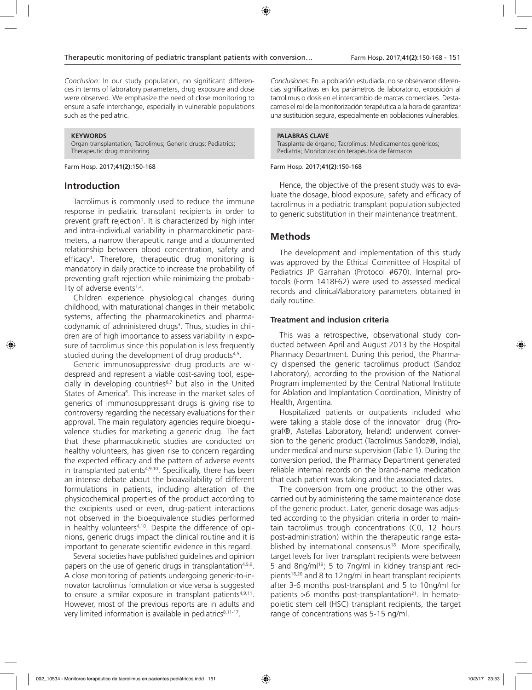*Conclusion:* In our study population, no significant differences in terms of laboratory parameters, drug exposure and dose were observed. We emphasize the need of close monitoring to ensure a safe interchange, especially in vulnerable populations such as the pediatric.

#### **KEYWORDS**

Organ transplantation; Tacrolimus; Generic drugs; Pediatrics; Therapeutic drug monitoring

Farm Hosp. 2017;**41(2)**:150-168

# **Introduction**

Tacrolimus is commonly used to reduce the immune response in pediatric transplant recipients in order to prevent graft rejection<sup>1</sup>. It is characterized by high inter and intra-individual variability in pharmacokinetic parameters, a narrow therapeutic range and a documented relationship between blood concentration, safety and efficacy1 . Therefore, therapeutic drug monitoring is mandatory in daily practice to increase the probability of preventing graft rejection while minimizing the probability of adverse events $1,2$ .

Children experience physiological changes during childhood, with maturational changes in their metabolic systems, affecting the pharmacokinetics and pharmacodynamic of administered drugs<sup>3</sup>. Thus, studies in children are of high importance to assess variability in exposure of tacrolimus since this population is less frequently studied during the development of drug products<sup>4,5</sup>.

Generic immunosuppressive drug products are widespread and represent a viable cost-saving tool, especially in developing countries<sup>6,7</sup> but also in the United States of America<sup>8</sup>. This increase in the market sales of generics of immunosuppressant drugs is giving rise to controversy regarding the necessary evaluations for their approval. The main regulatory agencies require bioequivalence studies for marketing a generic drug. The fact that these pharmacokinetic studies are conducted on healthy volunteers, has given rise to concern regarding the expected efficacy and the pattern of adverse events in transplanted patients<sup>4,9,10</sup>. Specifically, there has been an intense debate about the bioavailability of different formulations in patients, including alteration of the physicochemical properties of the product according to the excipients used or even, drug-patient interactions not observed in the bioequivalence studies performed in healthy volunteers<sup>4,10</sup>. Despite the difference of opinions, generic drugs impact the clinical routine and it is important to generate scientific evidence in this regard.

Several societies have published guidelines and opinion papers on the use of generic drugs in transplantation<sup>4,5,9</sup>. A close monitoring of patients undergoing generic-to-innovator tacrolimus formulation or vice versa is suggested to ensure a similar exposure in transplant patients<sup>4,9,11</sup>. However, most of the previous reports are in adults and very limited information is available in pediatrics<sup>8,11-17</sup>.

*Conclusiones:* En la población estudiada, no se observaron diferencias significativas en los parámetros de laboratorio, exposición al tacrolimus o dosis en el intercambio de marcas comerciales. Destacamos el rol de la monitorización terapéutica a la hora de garantizar una sustitución segura, especialmente en poblaciones vulnerables.

#### **PALABRAS CLAVE**

Trasplante de órgano; Tacrolimus; Medicamentos genéricos; Pediatría; Monitorización terapéutica de fármacos

#### Farm Hosp. 2017;**41(2)**:150-168

Hence, the objective of the present study was to evaluate the dosage, blood exposure, safety and efficacy of tacrolimus in a pediatric transplant population subjected to generic substitution in their maintenance treatment.

# **Methods**

The development and implementation of this study was approved by the Ethical Committee of Hospital of Pediatrics JP Garrahan (Protocol #670). Internal protocols (Form 1418F62) were used to assessed medical records and clinical/laboratory parameters obtained in daily routine.

### **Treatment and inclusion criteria**

This was a retrospective, observational study conducted between April and August 2013 by the Hospital Pharmacy Department. During this period, the Pharmacy dispensed the generic tacrolimus product (Sandoz Laboratory), according to the provision of the National Program implemented by the Central National Institute for Ablation and Implantation Coordination, Ministry of Health, Argentina.

Hospitalized patients or outpatients included who were taking a stable dose of the innovator drug (Prograf®, Astellas Laboratory, Ireland) underwent conversion to the generic product (Tacrolimus Sandoz®, India), under medical and nurse supervision (Table 1). During the conversion period, the Pharmacy Department generated reliable internal records on the brand-name medication that each patient was taking and the associated dates.

The conversion from one product to the other was carried out by administering the same maintenance dose of the generic product. Later, generic dosage was adjusted according to the physician criteria in order to maintain tacrolimus trough concentrations (C0, 12 hours post-administration) within the therapeutic range established by international consensus<sup>18</sup>. More specifically, target levels for liver transplant recipients were between 5 and 8ng/ml<sup>19</sup>; 5 to 7ng/ml in kidney transplant recipients<sup>18,20</sup> and 8 to 12ng/ml in heart transplant recipients after 3-6 months post-transplant and 5 to 10ng/ml for patients  $>6$  months post-transplantation<sup>21</sup>. In hematopoietic stem cell (HSC) transplant recipients, the target range of concentrations was 5-15 ng/ml.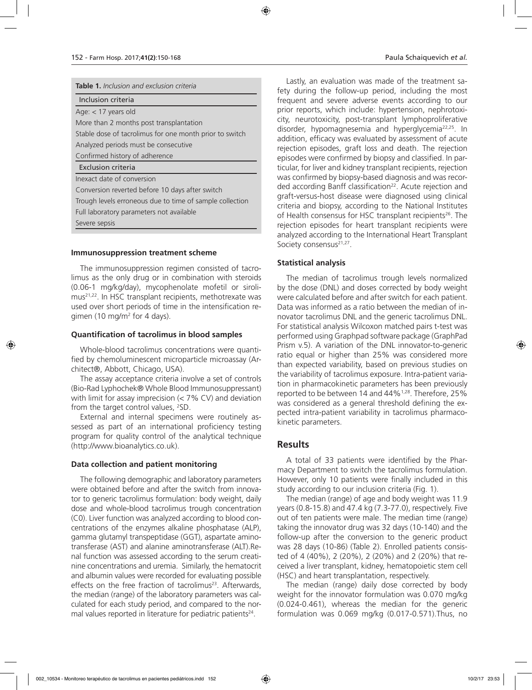| <b>Table 1.</b> Inclusion and exclusion criteria         |
|----------------------------------------------------------|
| Inclusion criteria                                       |
| Age: $<$ 17 years old                                    |
| More than 2 months post transplantation                  |
| Stable dose of tacrolimus for one month prior to switch  |
| Analyzed periods must be consecutive                     |
| Confirmed history of adherence                           |
| Exclusion criteria                                       |
| Inexact date of conversion                               |
| Conversion reverted before 10 days after switch          |
| Trough levels erroneous due to time of sample collection |
| Full laboratory parameters not available                 |
| Severe sepsis                                            |
|                                                          |

#### **Immunosuppression treatment scheme**

The immunosuppression regimen consisted of tacrolimus as the only drug or in combination with steroids (0.06-1 mg/kg/day), mycophenolate mofetil or sirolimus21,22. In HSC transplant recipients, methotrexate was used over short periods of time in the intensification regimen (10 mg/m2 for 4 days).

### **Quantification of tacrolimus in blood samples**

Whole-blood tacrolimus concentrations were quantified by chemoluminescent microparticle microassay (Architect®, Abbott, Chicago, USA).

The assay acceptance criteria involve a set of controls (Bio-Rad Lyphochek® Whole Blood Immunosuppressant) with limit for assay imprecision (< 7% CV) and deviation from the target control values, <sup>2</sup>SD.

External and internal specimens were routinely assessed as part of an international proficiency testing program for quality control of the analytical technique (http://www.bioanalytics.co.uk).

# **Data collection and patient monitoring**

The following demographic and laboratory parameters were obtained before and after the switch from innovator to generic tacrolimus formulation: body weight, daily dose and whole-blood tacrolimus trough concentration (C0). Liver function was analyzed according to blood concentrations of the enzymes alkaline phosphatase (ALP), gamma glutamyl transpeptidase (GGT), aspartate aminotransferase (AST) and alanine aminotransferase (ALT).Renal function was assessed according to the serum creatinine concentrations and uremia. Similarly, the hematocrit and albumin values were recorded for evaluating possible effects on the free fraction of tacrolimus<sup>23</sup>. Afterwards, the median (range) of the laboratory parameters was calculated for each study period, and compared to the normal values reported in literature for pediatric patients<sup>24</sup>.

Lastly, an evaluation was made of the treatment safety during the follow-up period, including the most frequent and severe adverse events according to our prior reports, which include: hypertension, nephrotoxicity, neurotoxicity, post-transplant lymphoproliferative disorder, hypomagnesemia and hyperglycemia<sup>22,25</sup>. In addition, efficacy was evaluated by assessment of acute rejection episodes, graft loss and death. The rejection episodes were confirmed by biopsy and classified. In particular, for liver and kidney transplant recipients, rejection was confirmed by biopsy-based diagnosis and was recorded according Banff classification<sup>22</sup>. Acute rejection and graft-versus-host disease were diagnosed using clinical criteria and biopsy, according to the National Institutes of Health consensus for HSC transplant recipients<sup>26</sup>. The rejection episodes for heart transplant recipients were analyzed according to the International Heart Transplant Society consensus<sup>21,27</sup>.

# **Statistical analysis**

The median of tacrolimus trough levels normalized by the dose (DNL) and doses corrected by body weight were calculated before and after switch for each patient. Data was informed as a ratio between the median of innovator tacrolimus DNL and the generic tacrolimus DNL. For statistical analysis Wilcoxon matched pairs t-test was performed using Graphpad software package (GraphPad Prism v.5). A variation of the DNL innovator-to-generic ratio equal or higher than 25% was considered more than expected variability, based on previous studies on the variability of tacrolimus exposure. Intra-patient variation in pharmacokinetic parameters has been previously reported to be between 14 and 44%1,28. Therefore, 25% was considered as a general threshold defining the expected intra-patient variability in tacrolimus pharmacokinetic parameters.

# **Results**

A total of 33 patients were identified by the Pharmacy Department to switch the tacrolimus formulation. However, only 10 patients were finally included in this study according to our inclusion criteria (Fig. 1).

The median (range) of age and body weight was 11.9 years (0.8-15.8) and 47.4 kg (7.3-77.0), respectively. Five out of ten patients were male. The median time (range) taking the innovator drug was 32 days (10-140) and the follow-up after the conversion to the generic product was 28 days (10-86) (Table 2). Enrolled patients consisted of 4 (40%), 2 (20%), 2 (20%) and 2 (20%) that received a liver transplant, kidney, hematopoietic stem cell (HSC) and heart transplantation, respectively.

The median (range) daily dose corrected by body weight for the innovator formulation was 0.070 mg/kg (0.024-0.461), whereas the median for the generic formulation was 0.069 mg/kg (0.017-0.571).Thus, no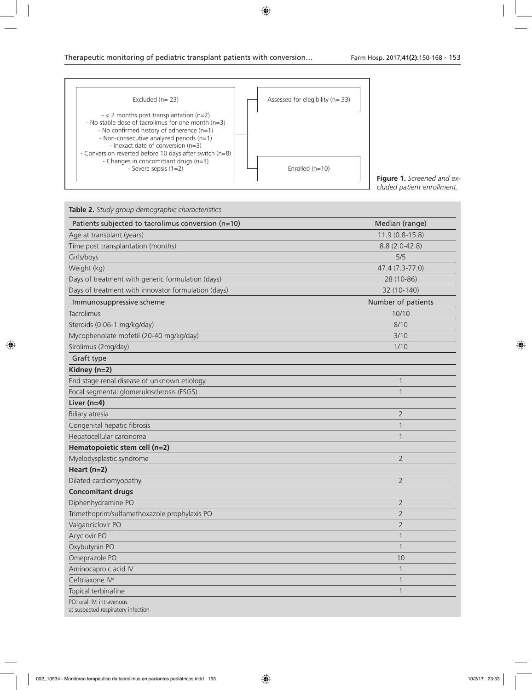| Excluded $(n=23)$                                                                                                                                                                                                                                                                                                                                                 | Assessed for elegibility (n= 33) |
|-------------------------------------------------------------------------------------------------------------------------------------------------------------------------------------------------------------------------------------------------------------------------------------------------------------------------------------------------------------------|----------------------------------|
| $-$ < 2 months post transplantation (n=2)<br>- No stable dose of tacrolimus for one month $(n=3)$<br>- No confirmed history of adherence $(n=1)$<br>- Non-consecutive analyzed periods (n=1)<br>- Inexact date of conversion (n=3)<br>- Conversion reverted before 10 days after switch (n=8)<br>- Changes in concomittant drugs (n=3)<br>- Severe sepsis $(1=2)$ | Enrolled $(n=10)$                |

**Figure 1.** *Screened and excluded patient enrollment.*

| <b>Table 2.</b> Study group demographic characteristics         |                    |  |  |
|-----------------------------------------------------------------|--------------------|--|--|
| Patients subjected to tacrolimus conversion (n=10)              | Median (range)     |  |  |
| Age at transplant (years)                                       | $11.9(0.8-15.8)$   |  |  |
| Time post transplantation (months)                              | $8.8(2.0-42.8)$    |  |  |
| Girls/boys                                                      | 5/5                |  |  |
| Weight (kg)                                                     | 47.4 (7.3-77.0)    |  |  |
| Days of treatment with generic formulation (days)               | 28 (10-86)         |  |  |
| Days of treatment with innovator formulation (days)             | 32 (10-140)        |  |  |
| Immunosuppressive scheme                                        | Number of patients |  |  |
| Tacrolimus                                                      | 10/10              |  |  |
| Steroids (0.06-1 mg/kg/day)                                     | 8/10               |  |  |
| Mycophenolate mofetil (20-40 mg/kg/day)                         | 3/10               |  |  |
| Sirolimus (2mg/day)                                             | 1/10               |  |  |
| Graft type                                                      |                    |  |  |
| Kidney (n=2)                                                    |                    |  |  |
| End stage renal disease of unknown etiology                     | $\mathbf{1}$       |  |  |
| Focal segmental glomerulosclerosis (FSGS)                       | $\mathbf{1}$       |  |  |
| Liver $(n=4)$                                                   |                    |  |  |
| Biliary atresia                                                 | 2                  |  |  |
| Congenital hepatic fibrosis                                     | 1                  |  |  |
| Hepatocellular carcinoma                                        | 1                  |  |  |
| Hematopoietic stem cell (n=2)                                   |                    |  |  |
| Myelodysplastic syndrome                                        | $\overline{2}$     |  |  |
| Heart $(n=2)$                                                   |                    |  |  |
| Dilated cardiomyopathy                                          | $\overline{2}$     |  |  |
| <b>Concomitant drugs</b>                                        |                    |  |  |
| Diphenhydramine PO                                              | $\overline{2}$     |  |  |
| Trimethoprim/sulfamethoxazole prophylaxis PO                    | $\overline{2}$     |  |  |
| Valganciclovir PO                                               | 2                  |  |  |
| Acyclovir PO                                                    | $\mathbf{1}$       |  |  |
| Oxybutynin PO                                                   | $\mathbf{1}$       |  |  |
| Omeprazole PO                                                   | 10                 |  |  |
| Aminocaproic acid IV                                            | $\mathbf{1}$       |  |  |
| Ceftriaxone IV <sup>a</sup>                                     | $\mathbf{1}$       |  |  |
| Topical terbinafine                                             | 1                  |  |  |
| PO: oral. IV: intravenous<br>a: suspected respiratory infection |                    |  |  |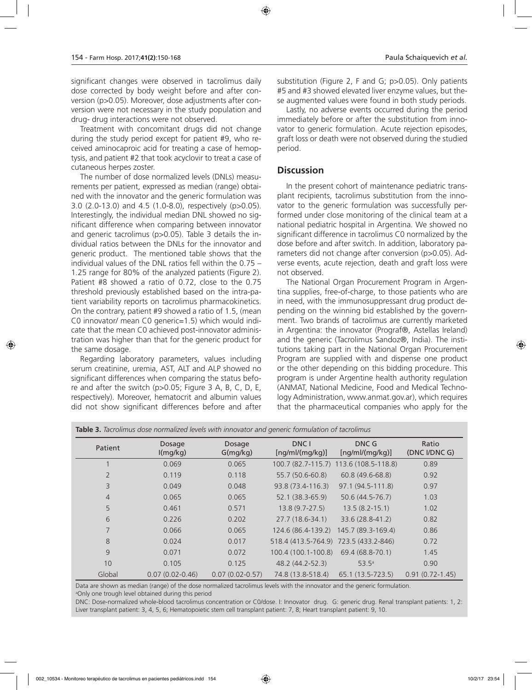significant changes were observed in tacrolimus daily dose corrected by body weight before and after conversion (p>0.05). Moreover, dose adjustments after conversion were not necessary in the study population and drug- drug interactions were not observed.

Treatment with concomitant drugs did not change during the study period except for patient #9, who received aminocaproic acid for treating a case of hemoptysis, and patient #2 that took acyclovir to treat a case of cutaneous herpes zoster.

The number of dose normalized levels (DNLs) measurements per patient, expressed as median (range) obtained with the innovator and the generic formulation was 3.0 (2.0-13.0) and 4.5 (1.0-8.0), respectively (p>0.05). Interestingly, the individual median DNL showed no significant difference when comparing between innovator and generic tacrolimus (p>0.05). Table 3 details the individual ratios between the DNLs for the innovator and generic product. The mentioned table shows that the individual values of the DNL ratios fell within the 0.75 – 1.25 range for 80% of the analyzed patients (Figure 2). Patient #8 showed a ratio of 0.72, close to the 0.75 threshold previously established based on the intra-patient variability reports on tacrolimus pharmacokinetics. On the contrary, patient #9 showed a ratio of 1.5, (mean C0 innovator/ mean C0 generic=1.5) which would indicate that the mean C0 achieved post-innovator administration was higher than that for the generic product for the same dosage.

Regarding laboratory parameters, values including serum creatinine, uremia, AST, ALT and ALP showed no significant differences when comparing the status before and after the switch (p>0.05; Figure 3 A, B, C, D, E, respectively). Moreover, hematocrit and albumin values did not show significant differences before and after substitution (Figure 2, F and G; p>0.05). Only patients #5 and #3 showed elevated liver enzyme values, but these augmented values were found in both study periods.

Lastly, no adverse events occurred during the period immediately before or after the substitution from innovator to generic formulation. Acute rejection episodes, graft loss or death were not observed during the studied period.

# **Discussion**

In the present cohort of maintenance pediatric transplant recipients, tacrolimus substitution from the innovator to the generic formulation was successfully performed under close monitoring of the clinical team at a national pediatric hospital in Argentina. We showed no significant difference in tacrolimus C0 normalized by the dose before and after switch. In addition, laboratory parameters did not change after conversion (p>0.05). Adverse events, acute rejection, death and graft loss were not observed.

The National Organ Procurement Program in Argentina supplies, free-of-charge, to those patients who are in need, with the immunosuppressant drug product depending on the winning bid established by the government. Two brands of tacrolimus are currently marketed in Argentina: the innovator (Prograf®, Astellas Ireland) and the generic (Tacrolimus Sandoz®, India). The institutions taking part in the National Organ Procurement Program are supplied with and dispense one product or the other depending on this bidding procedure. This program is under Argentine health authority regulation (ANMAT, National Medicine, Food and Medical Technology Administration, www.anmat.gov.ar), which requires that the pharmaceutical companies who apply for the

| Patient        | Dosage<br>I(mg/kg)  | Dosage<br>G(mg/kg)  | DNC <sub>1</sub><br>[ng/ml/(mg/kg)] | DNC G<br>[ng/ml/(mg/kg)]               | Ratio<br>(DNC I/DNC G) |
|----------------|---------------------|---------------------|-------------------------------------|----------------------------------------|------------------------|
|                | 0.069               | 0.065               |                                     | 100.7 (82.7-115.7) 113.6 (108.5-118.8) | 0.89                   |
| $\overline{2}$ | 0.119               | 0.118               | 55.7 (50.6-60.8)                    | 60.8 (49.6-68.8)                       | 0.92                   |
| 3              | 0.049               | 0.048               | 93.8 (73.4-116.3)                   | 97.1 (94.5-111.8)                      | 0.97                   |
| $\overline{4}$ | 0.065               | 0.065               | 52.1 (38.3-65.9)                    | 50.6 (44.5-76.7)                       | 1.03                   |
| 5              | 0.461               | 0.571               | $13.8(9.7-27.5)$                    | $13.5(8.2 - 15.1)$                     | 1.02                   |
| 6              | 0.226               | 0.202               | 27.7 (18.6-34.1)                    | 33.6 (28.8-41.2)                       | 0.82                   |
| $\overline{7}$ | 0.066               | 0.065               | 124.6 (86.4-139.2)                  | 145.7 (89.3-169.4)                     | 0.86                   |
| 8              | 0.024               | 0.017               | 518.4 (413.5-764.9)                 | 723.5 (433.2-846)                      | 0.72                   |
| 9              | 0.071               | 0.072               | 100.4 (100.1-100.8)                 | 69.4 (68.8-70.1)                       | 1.45                   |
| 10             | 0.105               | 0.125               | 48.2 (44.2-52.3)                    | 53.5 <sup>a</sup>                      | 0.90                   |
| Global         | $0.07(0.02 - 0.46)$ | $0.07(0.02 - 0.57)$ | 74.8 (13.8-518.4)                   | 65.1 (13.5-723.5)                      | $0.91(0.72 - 1.45)$    |

**Table 3.** *Tacrolimus dose normalized levels with innovator and generic formulation of tacrolimus* 

Data are shown as median (range) of the dose normalized tacrolimus levels with the innovator and the generic formulation. a Only one trough level obtained during this period

DNC: Dose-normalized whole-blood tacrolimus concentration or C0/dose. I: Innovator drug. G: generic drug. Renal transplant patients: 1, 2: Liver transplant patient: 3, 4, 5, 6; Hematopoietic stem cell transplant patient: 7, 8; Heart transplant patient: 9, 10.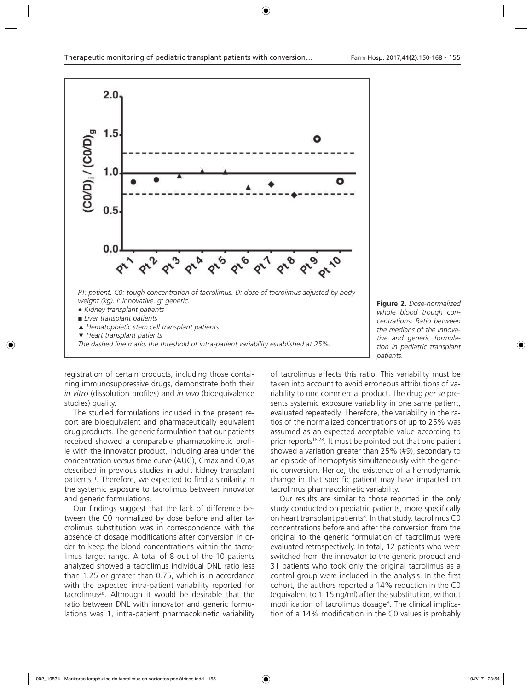

**Figure 2.** *Dose-normalized whole blood trough concentrations: Ratio between the medians of the innovative and generic formulation in pediatric transplant patients.*

registration of certain products, including those containing immunosuppressive drugs, demonstrate both their *in vitro* (dissolution profiles) and *in vivo* (bioequivalence studies) quality.

The studied formulations included in the present report are bioequivalent and pharmaceutically equivalent drug products. The generic formulation that our patients received showed a comparable pharmacokinetic profile with the innovator product, including area under the concentration *versus* time curve (AUC), Cmax and C0,as described in previous studies in adult kidney transplant patients<sup>11</sup>. Therefore, we expected to find a similarity in the systemic exposure to tacrolimus between innovator and generic formulations.

Our findings suggest that the lack of difference between the C0 normalized by dose before and after tacrolimus substitution was in correspondence with the absence of dosage modifications after conversion in order to keep the blood concentrations within the tacrolimus target range. A total of 8 out of the 10 patients analyzed showed a tacrolimus individual DNL ratio less than 1.25 or greater than 0.75, which is in accordance with the expected intra-patient variability reported for tacrolimus28. Although it would be desirable that the ratio between DNL with innovator and generic formulations was 1, intra-patient pharmacokinetic variability of tacrolimus affects this ratio. This variability must be taken into account to avoid erroneous attributions of variability to one commercial product. The drug *per se* presents systemic exposure variability in one same patient, evaluated repeatedly. Therefore, the variability in the ratios of the normalized concentrations of up to 25% was assumed as an expected acceptable value according to prior reports<sup>18,28</sup>. It must be pointed out that one patient showed a variation greater than 25% (#9), secondary to an episode of hemoptysis simultaneously with the generic conversion. Hence, the existence of a hemodynamic change in that specific patient may have impacted on tacrolimus pharmacokinetic variability.

Our results are similar to those reported in the only study conducted on pediatric patients, more specifically on heart transplant patients<sup>8</sup>. In that study, tacrolimus C0 concentrations before and after the conversion from the original to the generic formulation of tacrolimus were evaluated retrospectively. In total, 12 patients who were switched from the innovator to the generic product and 31 patients who took only the original tacrolimus as a control group were included in the analysis. In the first cohort, the authors reported a 14% reduction in the C0 (equivalent to 1.15 ng/ml) after the substitution, without modification of tacrolimus dosage<sup>8</sup>. The clinical implication of a 14% modification in the C0 values is probably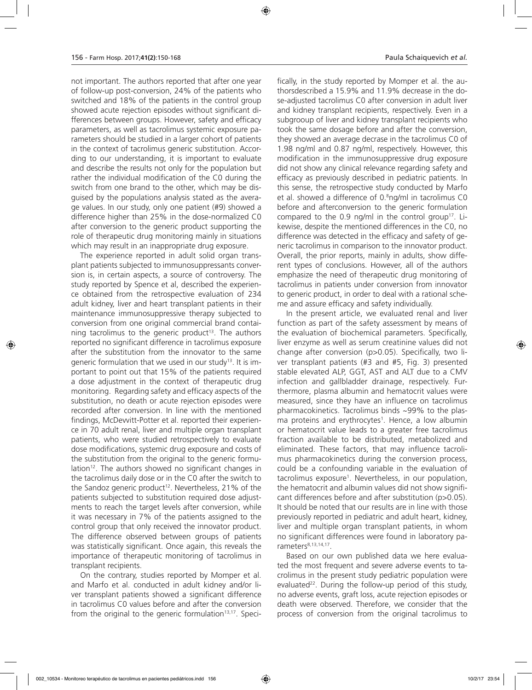not important. The authors reported that after one year of follow-up post-conversion, 24% of the patients who switched and 18% of the patients in the control group showed acute rejection episodes without significant differences between groups. However, safety and efficacy parameters, as well as tacrolimus systemic exposure parameters should be studied in a larger cohort of patients in the context of tacrolimus generic substitution. According to our understanding, it is important to evaluate and describe the results not only for the population but rather the individual modification of the C0 during the switch from one brand to the other, which may be disguised by the populations analysis stated as the average values. In our study, only one patient (#9) showed a difference higher than 25% in the dose-normalized C0 after conversion to the generic product supporting the role of therapeutic drug monitoring mainly in situations which may result in an inappropriate drug exposure.

The experience reported in adult solid organ transplant patients subjected to immunosuppressants conversion is, in certain aspects, a source of controversy. The study reported by Spence et al, described the experience obtained from the retrospective evaluation of 234 adult kidney, liver and heart transplant patients in their maintenance immunosuppressive therapy subjected to conversion from one original commercial brand containing tacrolimus to the generic product<sup>13</sup>. The authors reported no significant difference in tacrolimus exposure after the substitution from the innovator to the same generic formulation that we used in our study<sup>13</sup>. It is important to point out that 15% of the patients required a dose adjustment in the context of therapeutic drug monitoring. Regarding safety and efficacy aspects of the substitution, no death or acute rejection episodes were recorded after conversion. In line with the mentioned findings, McDevvitt-Potter et al. reported their experience in 70 adult renal, liver and multiple organ transplant patients, who were studied retrospectively to evaluate dose modifications, systemic drug exposure and costs of the substitution from the original to the generic formulation<sup>12</sup>. The authors showed no significant changes in the tacrolimus daily dose or in the C0 after the switch to the Sandoz generic product<sup>12</sup>. Nevertheless, 21% of the patients subjected to substitution required dose adjustments to reach the target levels after conversion, while it was necessary in 7% of the patients assigned to the control group that only received the innovator product. The difference observed between groups of patients was statistically significant. Once again, this reveals the importance of therapeutic monitoring of tacrolimus in transplant recipients.

On the contrary, studies reported by Momper et al. and Marfo et al. conducted in adult kidney and/or liver transplant patients showed a significant difference in tacrolimus C0 values before and after the conversion from the original to the generic formulation $13,17$ . Speci-

fically, in the study reported by Momper et al. the authorsdescribed a 15.9% and 11.9% decrease in the dose-adjusted tacrolimus C0 after conversion in adult liver and kidney transplant recipients, respectively. Even in a subgrooup of liver and kidney transplant recipients who took the same dosage before and after the conversion, they showed an average decrase in the tacrolimus C0 of 1.98 ng/ml and 0.87 ng/ml, respectively. However, this modification in the immunosuppressive drug exposure did not show any clinical relevance regarding safety and efficacy as previously described in pediatric patients. In this sense, the retrospective study conducted by Marfo et al. showed a difference of 0.<sup>8</sup>ng/ml in tacrolimus C0 before and afterconversion to the generic formulation compared to the 0.9 ng/ml in the control group<sup>17</sup>. Likewise, despite the mentioned differences in the C0, no difference was detected in the efficacy and safety of generic tacrolimus in comparison to the innovator product. Overall, the prior reports, mainly in adults, show different types of conclusions. However, all of the authors emphasize the need of therapeutic drug monitoring of tacrolimus in patients under conversion from innovator to generic product, in order to deal with a rational scheme and assure efficacy and safety individually.

In the present article, we evaluated renal and liver function as part of the safety assessment by means of the evaluation of biochemical parameters. Specifically, liver enzyme as well as serum creatinine values did not change after conversion (p>0.05). Specifically, two liver transplant patients (#3 and #5, Fig. 3) presented stable elevated ALP, GGT, AST and ALT due to a CMV infection and gallbladder drainage, respectively. Furthermore, plasma albumin and hematocrit values were measured, since they have an influence on tacrolimus pharmacokinetics. Tacrolimus binds ~99% to the plasma proteins and erythrocytes<sup>1</sup>. Hence, a low albumin or hematocrit value leads to a greater free tacrolimus fraction available to be distributed, metabolized and eliminated. These factors, that may influence tacrolimus pharmacokinetics during the conversion process, could be a confounding variable in the evaluation of tacrolimus exposure<sup>1</sup>. Nevertheless, in our population, the hematocrit and albumin values did not show significant differences before and after substitution (p>0.05). It should be noted that our results are in line with those previously reported in pediatric and adult heart, kidney, liver and multiple organ transplant patients, in whom no significant differences were found in laboratory parameters<sup>8,13,14,17</sup>.

Based on our own published data we here evaluated the most frequent and severe adverse events to tacrolimus in the present study pediatric population were evaluated<sup>22</sup>. During the follow-up period of this study, no adverse events, graft loss, acute rejection episodes or death were observed. Therefore, we consider that the process of conversion from the original tacrolimus to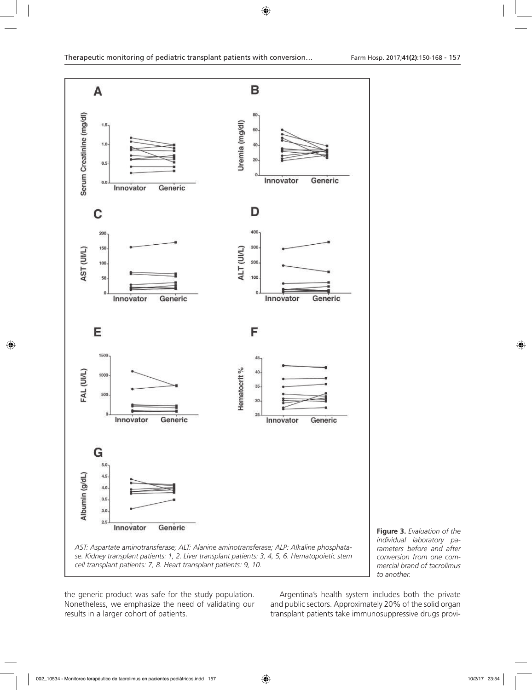



the generic product was safe for the study population. Nonetheless, we emphasize the need of validating our results in a larger cohort of patients.

Argentina's health system includes both the private and public sectors. Approximately 20% of the solid organ transplant patients take immunosuppressive drugs provi-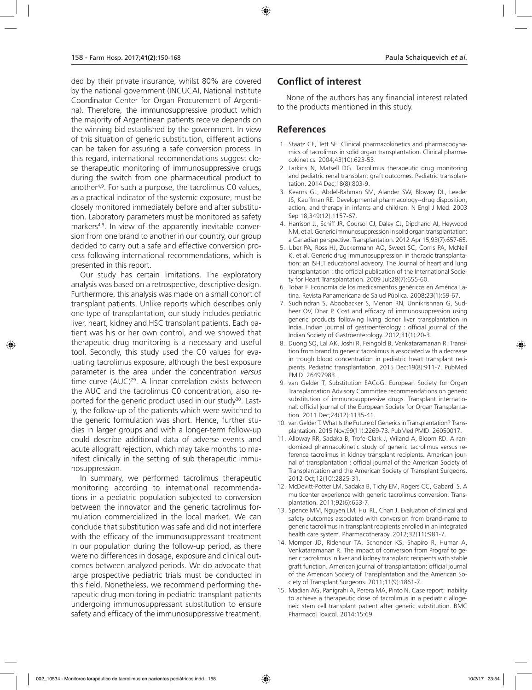ded by their private insurance, whilst 80% are covered by the national government (INCUCAI, National Institute Coordinator Center for Organ Procurement of Argentina). Therefore, the immunosuppressive product which the majority of Argentinean patients receive depends on the winning bid established by the government. In view of this situation of generic substitution, different actions can be taken for assuring a safe conversion process. In this regard, international recommendations suggest close therapeutic monitoring of immunosuppressive drugs during the switch from one pharmaceutical product to another4,9. For such a purpose, the tacrolimus C0 values, as a practical indicator of the systemic exposure, must be closely monitored immediately before and after substitution. Laboratory parameters must be monitored as safety markers<sup>4,9</sup>. In view of the apparently inevitable conversion from one brand to another in our country, our group decided to carry out a safe and effective conversion process following international recommendations, which is presented in this report.

Our study has certain limitations. The exploratory analysis was based on a retrospective, descriptive design. Furthermore, this analysis was made on a small cohort of transplant patients. Unlike reports which describes only one type of transplantation, our study includes pediatric liver, heart, kidney and HSC transplant patients. Each patient was his or her own control, and we showed that therapeutic drug monitoring is a necessary and useful tool. Secondly, this study used the C0 values for evaluating tacrolimus exposure, although the best exposure parameter is the area under the concentration *versus*  time curve (AUC)<sup>29</sup>. A linear correlation exists between the AUC and the tacrolimus C0 concentration, also reported for the generic product used in our study<sup>30</sup>. Lastly, the follow-up of the patients which were switched to the generic formulation was short. Hence, further studies in larger groups and with a longer-term follow-up could describe additional data of adverse events and acute allograft rejection, which may take months to manifest clinically in the setting of sub therapeutic immunosuppression.

In summary, we performed tacrolimus therapeutic monitoring according to international recommendations in a pediatric population subjected to conversion between the innovator and the generic tacrolimus formulation commercialized in the local market. We can conclude that substitution was safe and did not interfere with the efficacy of the immunosuppressant treatment in our population during the follow-up period, as there were no differences in dosage, exposure and clinical outcomes between analyzed periods. We do advocate that large prospective pediatric trials must be conducted in this field. Nonetheless, we recommend performing therapeutic drug monitoring in pediatric transplant patients undergoing immunosuppressant substitution to ensure safety and efficacy of the immunosuppressive treatment.

# **Conflict of interest**

None of the authors has any financial interest related to the products mentioned in this study.

# **References**

- 1. Staatz CE, Tett SE. Clinical pharmacokinetics and pharmacodynamics of tacrolimus in solid organ transplantation. Clinical pharmacokinetics. 2004;43(10):623-53.
- 2. Larkins N, Matsell DG. Tacrolimus therapeutic drug monitoring and pediatric renal transplant graft outcomes. Pediatric transplantation. 2014 Dec;18(8):803-9.
- 3. Kearns GL, Abdel-Rahman SM, Alander SW, Blowey DL, Leeder JS, Kauffman RE. Developmental pharmacology--drug disposition, action, and therapy in infants and children. N Engl J Med. 2003 Sep 18;349(12):1157-67.
- 4. Harrison JJ, Schiff JR, Coursol CJ, Daley CJ, Dipchand AI, Heywood NM, et al. Generic immunosuppression in solid organ transplantation: a Canadian perspective. Transplantation. 2012 Apr 15;93(7):657-65.
- 5. Uber PA, Ross HJ, Zuckermann AO, Sweet SC, Corris PA, McNeil K, et al. Generic drug immunosuppression in thoracic transplantation: an ISHLT educational advisory. The Journal of heart and lung transplantation : the official publication of the International Society for Heart Transplantation. 2009 Jul;28(7):655-60.
- 6. Tobar F. Economía de los medicamentos genéricos en América Latina. Revista Panamericana de Salud Pública. 2008;23(1):59-67.
- 7. Sudhindran S, Aboobacker S, Menon RN, Unnikrishnan G, Sudheer OV, Dhar P. Cost and efficacy of immunosuppression using generic products following living donor liver transplantation in India. Indian journal of gastroenterology : official journal of the Indian Society of Gastroenterology. 2012;31(1):20-3.
- 8. Duong SQ, Lal AK, Joshi R, Feingold B, Venkataramanan R. Transition from brand to generic tacrolimus is associated with a decrease in trough blood concentration in pediatric heart transplant recipients. Pediatric transplantation. 2015 Dec;19(8):911-7. PubMed PMID: 26497983.
- 9. van Gelder T, Substitution EACoG. European Society for Organ Transplantation Advisory Committee recommendations on generic substitution of immunosuppressive drugs. Transplant international: official journal of the European Society for Organ Transplantation. 2011 Dec;24(12):1135-41.
- 10. van Gelder T. What Is the Future of Generics in Transplantation? Transplantation. 2015 Nov;99(11):2269-73. PubMed PMID: 26050017.
- 11. Alloway RR, Sadaka B, Trofe-Clark J, Wiland A, Bloom RD. A randomized pharmacokinetic study of generic tacrolimus versus reference tacrolimus in kidney transplant recipients. American journal of transplantation : official journal of the American Society of Transplantation and the American Society of Transplant Surgeons. 2012 Oct;12(10):2825-31.
- 12. McDevitt-Potter LM, Sadaka B, Tichy EM, Rogers CC, Gabardi S. A multicenter experience with generic tacrolimus conversion. Transplantation. 2011;92(6):653-7.
- 13. Spence MM, Nguyen LM, Hui RL, Chan J. Evaluation of clinical and safety outcomes associated with conversion from brand-name to generic tacrolimus in transplant recipients enrolled in an integrated health care system. Pharmacotherapy. 2012;32(11):981-7.
- 14. Momper JD, Ridenour TA, Schonder KS, Shapiro R, Humar A, Venkataramanan R. The impact of conversion from Prograf to generic tacrolimus in liver and kidney transplant recipients with stable graft function. American journal of transplantation: official journal of the American Society of Transplantation and the American Society of Transplant Surgeons. 2011;11(9):1861-7.
- 15. Madian AG, Panigrahi A, Perera MA, Pinto N. Case report: Inability to achieve a therapeutic dose of tacrolimus in a pediatric allogeneic stem cell transplant patient after generic substitution. BMC Pharmacol Toxicol. 2014;15:69.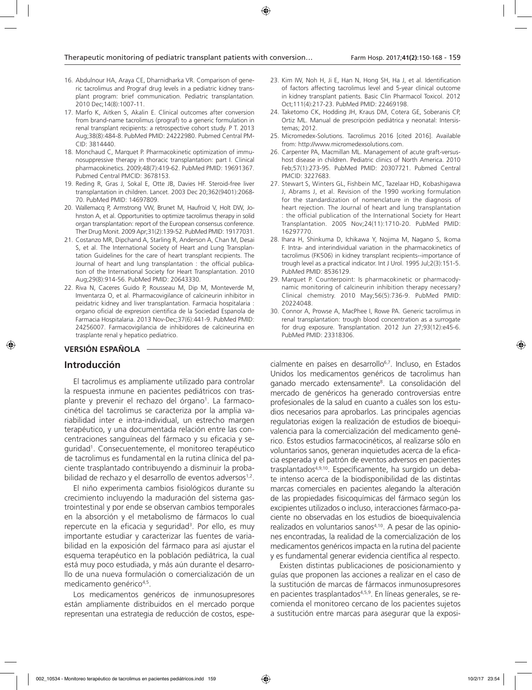- 16. Abdulnour HA, Araya CE, Dharnidharka VR. Comparison of generic tacrolimus and Prograf drug levels in a pediatric kidney transplant program: brief communication. Pediatric transplantation. 2010 Dec;14(8):1007-11.
- 17. Marfo K, Aitken S, Akalin E. Clinical outcomes after conversion from brand-name tacrolimus (prograf) to a generic formulation in renal transplant recipients: a retrospective cohort study. P T. 2013 Aug;38(8):484-8. PubMed PMID: 24222980. Pubmed Central PM-CID: 3814440.
- 18. Monchaud C, Marquet P. Pharmacokinetic optimization of immunosuppressive therapy in thoracic transplantation: part I. Clinical pharmacokinetics. 2009;48(7):419-62. PubMed PMID: 19691367. Pubmed Central PMCID: 3678153.
- 19. Reding R, Gras J, Sokal E, Otte JB, Davies HF. Steroid-free liver transplantation in children. Lancet. 2003 Dec 20;362(9401):2068- 70. PubMed PMID: 14697809.
- 20. Wallemacq P, Armstrong VW, Brunet M, Haufroid V, Holt DW, Johnston A, et al. Opportunities to optimize tacrolimus therapy in solid organ transplantation: report of the European consensus conference. Ther Drug Monit. 2009 Apr;31(2):139-52. PubMed PMID: 19177031.
- 21. Costanzo MR, Dipchand A, Starling R, Anderson A, Chan M, Desai S, et al. The International Society of Heart and Lung Transplantation Guidelines for the care of heart transplant recipients. The Journal of heart and lung transplantation : the official publication of the International Society for Heart Transplantation. 2010 Aug;29(8):914-56. PubMed PMID: 20643330.
- 22. Riva N, Caceres Guido P, Rousseau M, Dip M, Monteverde M, Imventarza O, et al. Pharmacovigilance of calcineurin inhibitor in peidatric kidney and liver transplantation. Farmacia hospitalaria : organo oficial de expresion cientifica de la Sociedad Espanola de Farmacia Hospitalaria. 2013 Nov-Dec;37(6):441-9. PubMed PMID: 24256007. Farmacovigilancia de inhibidores de calcineurina en trasplante renal y hepatico pediatrico.

# **VERSIÓN ESPAÑOLA**

# **Introducción**

El tacrolimus es ampliamente utilizado para controlar la respuesta inmune en pacientes pediátricos con trasplante y prevenir el rechazo del órgano<sup>1</sup>. La farmacocinética del tacrolimus se caracteriza por la amplia variabilidad inter e intra-individual, un estrecho margen terapéutico, y una documentada relación entre las concentraciones sanguíneas del fármaco y su eficacia y seguridad1 . Consecuentemente, el monitoreo terapéutico de tacrolimus es fundamental en la rutina clínica del paciente trasplantado contribuyendo a disminuir la probabilidad de rechazo y el desarrollo de eventos adversos<sup>1,2</sup>.

El niño experimenta cambios fisiológicos durante su crecimiento incluyendo la maduración del sistema gastrointestinal y por ende se observan cambios temporales en la absorción y el metabolismo de fármacos lo cual repercute en la eficacia y seguridad<sup>3</sup>. Por ello, es muy importante estudiar y caracterizar las fuentes de variabilidad en la exposición del fármaco para así ajustar el esquema terapéutico en la población pediátrica, la cual está muy poco estudiada, y más aún durante el desarrollo de una nueva formulación o comercialización de un medicamento genérico<sup>4,5</sup>.

Los medicamentos genéricos de inmunosupresores están ampliamente distribuidos en el mercado porque representan una estrategia de reducción de costos, espe-

- 23. Kim IW, Noh H, Ji E, Han N, Hong SH, Ha J, et al. Identification of factors affecting tacrolimus level and 5-year clinical outcome in kidney transplant patients. Basic Clin Pharmacol Toxicol. 2012 Oct;111(4):217-23. PubMed PMID: 22469198.
- 24. Taketomo CK, Hodding JH, Kraus DM, Cotera GE, Soberanis CP, Ortiz ML. Manual de prescripción pediátrica y neonatal: Intersistemas; 2012.
- 25. Micromedex-Solutions. Tacrolimus 2016 [cited 2016]. Available from: http://www.micromedexsolutions.com.
- 26. Carpenter PA, Macmillan ML. Management of acute graft-versushost disease in children. Pediatric clinics of North America. 2010 Feb;57(1):273-95. PubMed PMID: 20307721. Pubmed Central PMCID: 3227683.
- 27. Stewart S, Winters GL, Fishbein MC, Tazelaar HD, Kobashigawa J, Abrams J, et al. Revision of the 1990 working formulation for the standardization of nomenclature in the diagnosis of heart rejection. The Journal of heart and lung transplantation : the official publication of the International Society for Heart Transplantation. 2005 Nov;24(11):1710-20. PubMed PMID: 16297770.
- 28. Ihara H, Shinkuma D, Ichikawa Y, Nojima M, Nagano S, Ikoma F. Intra- and interindividual variation in the pharmacokinetics of tacrolimus (FK506) in kidney transplant recipients--importance of trough level as a practical indicator. Int J Urol. 1995 Jul;2(3):151-5. PubMed PMID: 8536129.
- 29. Marquet P. Counterpoint: Is pharmacokinetic or pharmacodynamic monitoring of calcineurin inhibition therapy necessary? Clinical chemistry. 2010 May;56(5):736-9. PubMed PMID: 20224048.
- 30. Connor A, Prowse A, MacPhee I, Rowe PA. Generic tacrolimus in renal transplantation: trough blood concentration as a surrogate for drug exposure. Transplantation. 2012 Jun 27;93(12):e45-6. PubMed PMID: 23318306.

cialmente en países en desarrollo<sup>6,7</sup>. Incluso, en Estados Unidos los medicamentos genéricos de tacrolimus han ganado mercado extensamente<sup>8</sup>. La consolidación del mercado de genéricos ha generado controversias entre profesionales de la salud en cuanto a cuáles son los estudios necesarios para aprobarlos. Las principales agencias regulatorias exigen la realización de estudios de bioequivalencia para la comercialización del medicamento genérico. Estos estudios farmacocinéticos, al realizarse sólo en voluntarios sanos, generan inquietudes acerca de la eficacia esperada y el patrón de eventos adversos en pacientes trasplantados4,9,10. Específicamente, ha surgido un debate intenso acerca de la biodisponibilidad de las distintas marcas comerciales en pacientes alegando la alteración de las propiedades fisicoquímicas del fármaco según los excipientes utilizados o incluso, interacciones fármaco-paciente no observadas en los estudios de bioequivalencia realizados en voluntarios sanos<sup>4,10</sup>. A pesar de las opiniones encontradas, la realidad de la comercialización de los medicamentos genéricos impacta en la rutina del paciente y es fundamental generar evidencia científica al respecto.

Existen distintas publicaciones de posicionamiento y guías que proponen las acciones a realizar en el caso de la sustitución de marcas de fármacos inmunosupresores en pacientes trasplantados<sup>4,5,9</sup>. En líneas generales, se recomienda el monitoreo cercano de los pacientes sujetos a sustitución entre marcas para asegurar que la exposi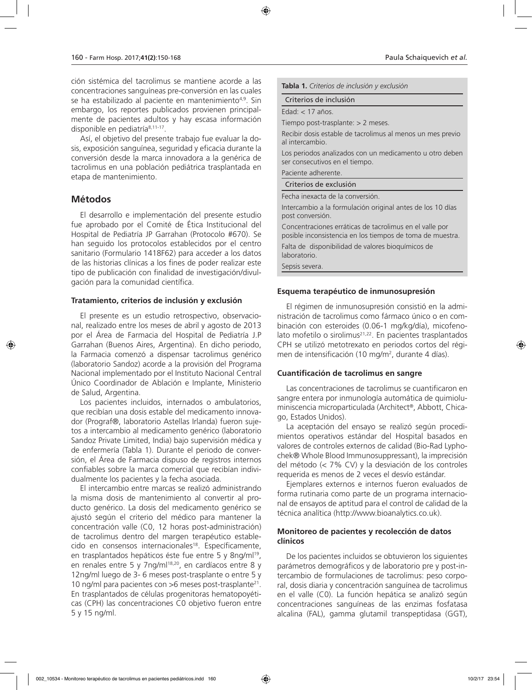ción sistémica del tacrolimus se mantiene acorde a las concentraciones sanguíneas pre-conversión en las cuales se ha estabilizado al paciente en mantenimiento<sup>4,9</sup>. Sin embargo, los reportes publicados provienen principalmente de pacientes adultos y hay escasa información disponible en pediatría<sup>8,11-17</sup>.

Así, el objetivo del presente trabajo fue evaluar la dosis, exposición sanguínea, seguridad y eficacia durante la conversión desde la marca innovadora a la genérica de tacrolimus en una población pediátrica trasplantada en etapa de mantenimiento.

# **Métodos**

El desarrollo e implementación del presente estudio fue aprobado por el Comité de Ética Institucional del Hospital de Pediatría JP Garrahan (Protocolo #670). Se han seguido los protocolos establecidos por el centro sanitario (Formulario 1418F62) para acceder a los datos de las historias clínicas a los fines de poder realizar este tipo de publicación con finalidad de investigación/divulgación para la comunidad científica.

### **Tratamiento, criterios de inclusión y exclusión**

El presente es un estudio retrospectivo, observacional, realizado entre los meses de abril y agosto de 2013 por el Área de Farmacia del Hospital de Pediatría J.P Garrahan (Buenos Aires, Argentina). En dicho periodo, la Farmacia comenzó a dispensar tacrolimus genérico (laboratorio Sandoz) acorde a la provisión del Programa Nacional implementado por el Instituto Nacional Central Único Coordinador de Ablación e Implante, Ministerio de Salud, Argentina.

Los pacientes incluidos, internados o ambulatorios, que recibían una dosis estable del medicamento innovador (Prograf®, laboratorio Astellas Irlanda) fueron sujetos a intercambio al medicamento genérico (laboratorio Sandoz Private Limited, India) bajo supervisión médica y de enfermería (Tabla 1). Durante el periodo de conversión, el Área de Farmacia dispuso de registros internos confiables sobre la marca comercial que recibían individualmente los pacientes y la fecha asociada.

El intercambio entre marcas se realizó administrando la misma dosis de mantenimiento al convertir al producto genérico. La dosis del medicamento genérico se ajustó según el criterio del médico para mantener la concentración valle (C0, 12 horas post-administración) de tacrolimus dentro del margen terapéutico establecido en consensos internacionales<sup>18</sup>. Específicamente, en trasplantados hepáticos éste fue entre 5 y 8ng/ml<sup>19</sup>, en renales entre 5 y 7ng/ml<sup>18,20</sup>, en cardíacos entre 8 y 12ng/ml luego de 3- 6 meses post-trasplante o entre 5 y 10 ng/ml para pacientes con  $>6$  meses post-trasplante<sup>21</sup>. En trasplantados de células progenitoras hematopoyéticas (CPH) las concentraciones C0 objetivo fueron entre 5 y 15 ng/ml.

**Tabla 1.** *Criterios de inclusión y exclusión*

Criterios de inclusión

Edad: < 17 años.

Tiempo post-trasplante: > 2 meses.

Recibir dosis estable de tacrolimus al menos un mes previo al intercambio.

Los periodos analizados con un medicamento u otro deben ser consecutivos en el tiempo.

Paciente adherente.

Criterios de exclusión

Fecha inexacta de la conversión.

Intercambio a la formulación original antes de los 10 días post conversión.

Concentraciones erráticas de tacrolimus en el valle por posible inconsistencia en los tiempos de toma de muestra.

Falta de disponibilidad de valores bioquímicos de laboratorio.

Sepsis severa.

# **Esquema terapéutico de inmunosupresión**

El régimen de inmunosupresión consistió en la administración de tacrolimus como fármaco único o en combinación con esteroides (0.06-1 mg/kg/día), micofenolato mofetilo o sirolimus<sup>21,22</sup>. En pacientes trasplantados CPH se utilizó metotrexato en periodos cortos del régimen de intensificación (10 mg/m<sup>2</sup>, durante 4 días).

# **Cuantificación de tacrolimus en sangre**

Las concentraciones de tacrolimus se cuantificaron en sangre entera por inmunología automática de quimioluminiscencia microparticulada (Architect®, Abbott, Chicago, Estados Unidos).

La aceptación del ensayo se realizó según procedimientos operativos estándar del Hospital basados en valores de controles externos de calidad (Bio-Rad Lyphochek® Whole Blood Immunosuppressant), la imprecisión del método (< 7% CV) y la desviación de los controles requerida es menos de 2 veces el desvío estándar.

Ejemplares externos e internos fueron evaluados de forma rutinaria como parte de un programa internacional de ensayos de aptitud para el control de calidad de la técnica analítica (http://www.bioanalytics.co.uk).

# **Monitoreo de pacientes y recolección de datos clínicos**

De los pacientes incluidos se obtuvieron los siguientes parámetros demográficos y de laboratorio pre y post-intercambio de formulaciones de tacrolimus: peso corporal, dosis diaria y concentración sanguínea de tacrolimus en el valle (C0). La función hepática se analizó según concentraciones sanguíneas de las enzimas fosfatasa alcalina (FAL), gamma glutamil transpeptidasa (GGT),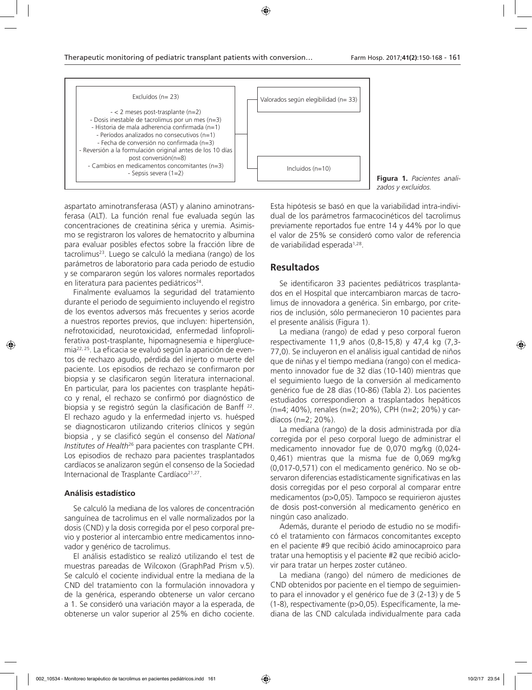

**Figura 1.** *Pacientes analizados y excluidos.*

aspartato aminotransferasa (AST) y alanino aminotransferasa (ALT). La función renal fue evaluada según las concentraciones de creatinina sérica y uremia. Asimismo se registraron los valores de hematocrito y albumina para evaluar posibles efectos sobre la fracción libre de tacrolimus<sup>23</sup>. Luego se calculó la mediana (rango) de los parámetros de laboratorio para cada periodo de estudio y se compararon según los valores normales reportados en literatura para pacientes pediátricos<sup>24</sup>.

Finalmente evaluamos la seguridad del tratamiento durante el periodo de seguimiento incluyendo el registro de los eventos adversos más frecuentes y serios acorde a nuestros reportes previos, que incluyen: hipertensión, nefrotoxicidad, neurotoxicidad, enfermedad linfoproliferativa post-trasplante, hipomagnesemia e hiperglucemia22, 25. La eficacia se evaluó según la aparición de eventos de rechazo agudo, pérdida del injerto o muerte del paciente. Los episodios de rechazo se confirmaron por biopsia y se clasificaron según literatura internacional. En particular, para los pacientes con trasplante hepático y renal, el rechazo se confirmó por diagnóstico de biopsia y se registró según la clasificación de Banff 22. El rechazo agudo y la enfermedad injerto vs. huésped se diagnosticaron utilizando criterios clínicos y según biopsia , y se clasificó según el consenso del *National Institutes of Health*26 para pacientes con trasplante CPH. Los episodios de rechazo para pacientes trasplantados cardíacos se analizaron según el consenso de la Sociedad Internacional de Trasplante Cardíaco<sup>21,27</sup>.

#### **Análisis estadístico**

Se calculó la mediana de los valores de concentración sanguínea de tacrolimus en el valle normalizados por la dosis (CND) y la dosis corregida por el peso corporal previo y posterior al intercambio entre medicamentos innovador y genérico de tacrolimus.

El análisis estadístico se realizó utilizando el test de muestras pareadas de Wilcoxon (GraphPad Prism v.5). Se calculó el cociente individual entre la mediana de la CND del tratamiento con la formulación innovadora y de la genérica, esperando obtenerse un valor cercano a 1. Se consideró una variación mayor a la esperada, de obtenerse un valor superior al 25% en dicho cociente.

Esta hipótesis se basó en que la variabilidad intra-individual de los parámetros farmacocinéticos del tacrolimus previamente reportados fue entre 14 y 44% por lo que el valor de 25% se consideró como valor de referencia de variabilidad esperada<sup>1,28</sup>.

# **Resultados**

Se identificaron 33 pacientes pediátricos trasplantados en el Hospital que intercambiaron marcas de tacrolimus de innovadora a genérica. Sin embargo, por criterios de inclusión, sólo permanecieron 10 pacientes para el presente análisis (Figura 1).

La mediana (rango) de edad y peso corporal fueron respectivamente 11,9 años (0,8-15,8) y 47,4 kg (7,3- 77,0). Se incluyeron en el análisis igual cantidad de niños que de niñas y el tiempo mediana (rango) con el medicamento innovador fue de 32 días (10-140) mientras que el seguimiento luego de la conversión al medicamento genérico fue de 28 días (10-86) (Tabla 2). Los pacientes estudiados correspondieron a trasplantados hepáticos (n=4; 40%), renales (n=2; 20%), CPH (n=2; 20%) y cardíacos (n=2; 20%).

La mediana (rango) de la dosis administrada por día corregida por el peso corporal luego de administrar el medicamento innovador fue de 0,070 mg/kg (0,024- 0,461) mientras que la misma fue de 0,069 mg/kg (0,017-0,571) con el medicamento genérico. No se observaron diferencias estadísticamente significativas en las dosis corregidas por el peso corporal al comparar entre medicamentos (p>0,05). Tampoco se requirieron ajustes de dosis post-conversión al medicamento genérico en ningún caso analizado.

Además, durante el periodo de estudio no se modificó el tratamiento con fármacos concomitantes excepto en el paciente #9 que recibió ácido aminocaproico para tratar una hemoptisis y el paciente #2 que recibió aciclovir para tratar un herpes zoster cutáneo.

La mediana (rango) del número de mediciones de CND obtenidos por paciente en el tiempo de seguimiento para el innovador y el genérico fue de 3 (2-13) y de 5 (1-8), respectivamente (p>0,05). Específicamente, la mediana de las CND calculada individualmente para cada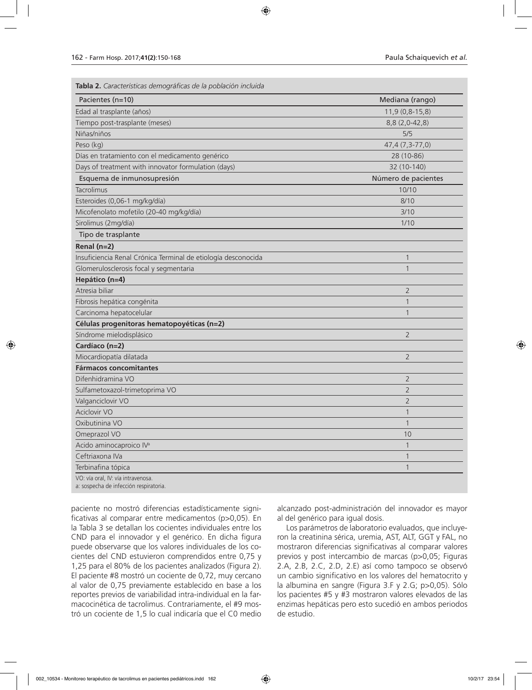**Tabla 2.** *Características demográficas de la población incluida*

| Pacientes (n=10)                                                             | Mediana (rango)     |
|------------------------------------------------------------------------------|---------------------|
| Edad al trasplante (años)                                                    | 11,9 (0,8-15,8)     |
| Tiempo post-trasplante (meses)                                               | 8,8 (2,0-42,8)      |
| Niñas/niños                                                                  | 5/5                 |
| Peso (kg)                                                                    | 47,4 (7,3-77,0)     |
| Días en tratamiento con el medicamento genérico                              | 28 (10-86)          |
| Days of treatment with innovator formulation (days)                          | 32 (10-140)         |
| Esquema de inmunosupresión                                                   | Número de pacientes |
| Tacrolimus                                                                   | 10/10               |
| Esteroides (0,06-1 mg/kg/día)                                                | 8/10                |
| Micofenolato mofetilo (20-40 mg/kg/día)                                      | 3/10                |
| Sirolimus (2mg/día)                                                          | 1/10                |
| Tipo de trasplante                                                           |                     |
| Renal $(n=2)$                                                                |                     |
| Insuficiencia Renal Crónica Terminal de etiología desconocida                | 1                   |
| Glomerulosclerosis focal y segmentaria                                       | $\mathbf{1}$        |
| Hepático (n=4)                                                               |                     |
| Atresia biliar                                                               | $\overline{2}$      |
| Fibrosis hepática congénita                                                  | 1                   |
| Carcinoma hepatocelular                                                      | $\mathbf{1}$        |
| Células progenitoras hematopoyéticas (n=2)                                   |                     |
| Síndrome mielodisplásico                                                     | $\overline{2}$      |
| Cardíaco (n=2)                                                               |                     |
| Miocardiopatía dilatada                                                      | $\overline{2}$      |
| <b>Fármacos concomitantes</b>                                                |                     |
| Difenhidramina VO                                                            | 2                   |
| Sulfametoxazol-trimetoprima VO                                               | $\overline{2}$      |
| Valganciclovir VO                                                            | $\overline{2}$      |
| Aciclovir VO                                                                 | $\mathbf{1}$        |
| Oxibutinina VO                                                               | $\mathbf{1}$        |
| Omeprazol VO                                                                 | 10                  |
| Acido aminocaproico IV <sup>a</sup>                                          | $\mathbf{1}$        |
| Ceftriaxona IVa                                                              | $\mathbf{1}$        |
| Terbinafina tópica                                                           | 1                   |
| VO: vía oral, IV: vía intravenosa.<br>a: sospecha de infección respiratoria. |                     |

paciente no mostró diferencias estadísticamente significativas al comparar entre medicamentos (p>0,05). En la Tabla 3 se detallan los cocientes individuales entre los CND para el innovador y el genérico. En dicha figura puede observarse que los valores individuales de los cocientes del CND estuvieron comprendidos entre 0,75 y 1,25 para el 80% de los pacientes analizados (Figura 2). El paciente #8 mostró un cociente de 0,72, muy cercano al valor de 0,75 previamente establecido en base a los reportes previos de variabilidad intra-individual en la farmacocinética de tacrolimus. Contrariamente, el #9 mostró un cociente de 1,5 lo cual indicaría que el C0 medio

alcanzado post-administración del innovador es mayor al del genérico para igual dosis.

Los parámetros de laboratorio evaluados, que incluyeron la creatinina sérica, uremia, AST, ALT, GGT y FAL, no mostraron diferencias significativas al comparar valores previos y post intercambio de marcas (p>0,05; Figuras 2.A, 2.B, 2.C, 2.D, 2.E) así como tampoco se observó un cambio significativo en los valores del hematocrito y la albumina en sangre (Figura 3.F y 2.G; p>0,05). Sólo los pacientes #5 y #3 mostraron valores elevados de las enzimas hepáticas pero esto sucedió en ambos periodos de estudio.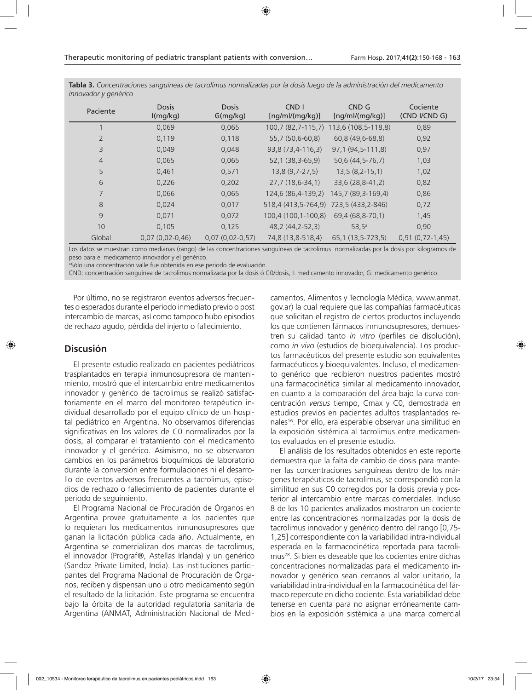| innovador y generico |                          |                          |                                     |                          |                           |
|----------------------|--------------------------|--------------------------|-------------------------------------|--------------------------|---------------------------|
| Paciente             | <b>Dosis</b><br>I(mg/kg) | <b>Dosis</b><br>G(mg/kg) | CND <sub>1</sub><br>[ng/ml/(mg/kg)] | CND G<br>[ng/ml/(mg/kg)] | Cociente<br>(CND I/CND G) |
|                      | 0,069                    | 0,065                    | $100,7(82,7-115,7)$                 | 113,6 (108,5-118,8)      | 0,89                      |
| $\overline{2}$       | 0,119                    | 0,118                    | 55,7 (50,6-60,8)                    | 60,8 (49,6-68,8)         | 0,92                      |
| 3                    | 0,049                    | 0,048                    | 93,8 (73,4-116,3)                   | 97,1 (94,5-111,8)        | 0,97                      |
| $\overline{4}$       | 0,065                    | 0,065                    | 52,1 (38,3-65,9)                    | 50,6 (44,5-76,7)         | 1,03                      |
| 5                    | 0,461                    | 0,571                    | $13,8(9,7-27,5)$                    | $13,5(8,2-15,1)$         | 1,02                      |
| 6                    | 0,226                    | 0,202                    | $27,7(18,6-34,1)$                   | 33,6 (28,8-41,2)         | 0,82                      |
| 7                    | 0,066                    | 0,065                    | 124,6 (86,4-139,2)                  | 145,7 (89,3-169,4)       | 0,86                      |
| 8                    | 0,024                    | 0,017                    | 518,4 (413,5-764,9)                 | 723,5 (433,2-846)        | 0,72                      |
| 9                    | 0,071                    | 0,072                    | 100,4 (100,1-100,8)                 | 69,4 (68,8-70,1)         | 1,45                      |
| 10                   | 0,105                    | 0,125                    | 48,2 (44,2-52,3)                    | $53,5^{\circ}$           | 0,90                      |
| Global               | $0.07(0.02 - 0.46)$      | $0.07(0.02 - 0.57)$      | 74,8 (13,8-518,4)                   | 65,1 (13,5-723,5)        | $0.91(0.72 - 1.45)$       |

**Tabla 3.** *Concentraciones sanguíneas de tacrolimus normalizadas por la dosis luego de la administración del medicamento innovador y genérico* 

Los datos se muestran como medianas (rango) de las concentraciones sanguíneas de tacrolimus normalizadas por la dosis por kilogramos de peso para el medicamento innovador y el genérico.

a Sólo una concentración valle fue obtenida en ese periodo de evaluación.

CND: concentración sanguínea de tacrolimus normalizada por la dosis ó C0/dosis, I: medicamento innovador, G: medicamento genérico.

Por último, no se registraron eventos adversos frecuentes o esperados durante el periodo inmediato previo o post intercambio de marcas, así como tampoco hubo episodios de rechazo agudo, pérdida del injerto o fallecimiento.

# **Discusión**

El presente estudio realizado en pacientes pediátricos trasplantados en terapia inmunosupresora de mantenimiento, mostró que el intercambio entre medicamentos innovador y genérico de tacrolimus se realizó satisfactoriamente en el marco del monitoreo terapéutico individual desarrollado por el equipo clínico de un hospital pediátrico en Argentina. No observamos diferencias significativas en los valores de C0 normalizados por la dosis, al comparar el tratamiento con el medicamento innovador y el genérico. Asimismo, no se observaron cambios en los parámetros bioquímicos de laboratorio durante la conversión entre formulaciones ni el desarrollo de eventos adversos frecuentes a tacrolimus, episodios de rechazo o fallecimiento de pacientes durante el periodo de seguimiento.

El Programa Nacional de Procuración de Órganos en Argentina provee gratuitamente a los pacientes que lo requieran los medicamentos inmunosupresores que ganan la licitación pública cada año. Actualmente, en Argentina se comercializan dos marcas de tacrolimus, el innovador (Prograf®, Astellas Irlanda) y un genérico (Sandoz Private Limited, India). Las instituciones participantes del Programa Nacional de Procuración de Órganos, reciben y dispensan uno u otro medicamento según el resultado de la licitación. Este programa se encuentra bajo la órbita de la autoridad regulatoria sanitaria de Argentina (ANMAT, Administración Nacional de Medicamentos, Alimentos y Tecnología Médica, www.anmat. gov.ar) la cual requiere que las compañías farmacéuticas que solicitan el registro de ciertos productos incluyendo los que contienen fármacos inmunosupresores, demuestren su calidad tanto *in vitro* (perfiles de disolución), como *in vivo* (estudios de bioequivalencia). Los productos farmacéuticos del presente estudio son equivalentes farmacéuticos y bioequivalentes. Incluso, el medicamento genérico que recibieron nuestros pacientes mostró una farmacocinética similar al medicamento innovador, en cuanto a la comparación del área bajo la curva concentración *versus* tiempo, Cmax y C0, demostrada en estudios previos en pacientes adultos trasplantados renales16. Por ello, era esperable observar una similitud en la exposición sistémica al tacrolimus entre medicamentos evaluados en el presente estudio.

El análisis de los resultados obtenidos en este reporte demuestra que la falta de cambio de dosis para mantener las concentraciones sanguíneas dentro de los márgenes terapéuticos de tacrolimus, se correspondió con la similitud en sus C0 corregidos por la dosis previa y posterior al intercambio entre marcas comerciales. Incluso 8 de los 10 pacientes analizados mostraron un cociente entre las concentraciones normalizadas por la dosis de tacrolimus innovador y genérico dentro del rango [0,75- 1,25] correspondiente con la variabilidad intra-individual esperada en la farmacocinética reportada para tacrolimus28. Si bien es deseable que los cocientes entre dichas concentraciones normalizadas para el medicamento innovador y genérico sean cercanos al valor unitario, la variabilidad intra-individual en la farmacocinética del fármaco repercute en dicho cociente. Esta variabilidad debe tenerse en cuenta para no asignar erróneamente cambios en la exposición sistémica a una marca comercial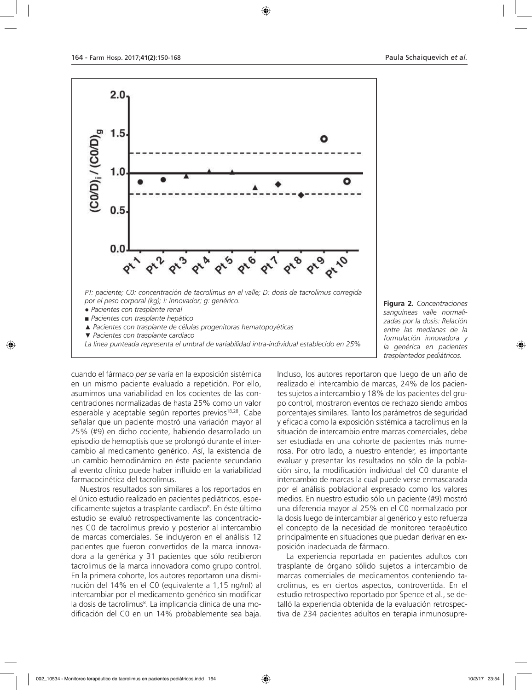

**Figura 2.** *Concentraciones sanguíneas valle normalizadas por la dosis: Relación entre las medianas de la formulación innovadora y la genérica en pacientes trasplantados pediátricos.*

cuando el fármaco *per se* varía en la exposición sistémica en un mismo paciente evaluado a repetición. Por ello, asumimos una variabilidad en los cocientes de las concentraciones normalizadas de hasta 25% como un valor esperable y aceptable según reportes previos<sup>18,28</sup>. Cabe señalar que un paciente mostró una variación mayor al 25% (#9) en dicho cociente, habiendo desarrollado un episodio de hemoptisis que se prolongó durante el intercambio al medicamento genérico. Así, la existencia de un cambio hemodinámico en éste paciente secundario al evento clínico puede haber influido en la variabilidad farmacocinética del tacrolimus.

Nuestros resultados son similares a los reportados en el único estudio realizado en pacientes pediátricos, específicamente sujetos a trasplante cardíaco<sup>8</sup>. En éste último estudio se evaluó retrospectivamente las concentraciones C0 de tacrolimus previo y posterior al intercambio de marcas comerciales. Se incluyeron en el análisis 12 pacientes que fueron convertidos de la marca innovadora a la genérica y 31 pacientes que sólo recibieron tacrolimus de la marca innovadora como grupo control. En la primera cohorte, los autores reportaron una disminución del 14% en el C0 (equivalente a 1,15 ng/ml) al intercambiar por el medicamento genérico sin modificar la dosis de tacrolimus<sup>8</sup>. La implicancia clínica de una modificación del C0 en un 14% probablemente sea baja.

Incluso, los autores reportaron que luego de un año de realizado el intercambio de marcas, 24% de los pacientes sujetos a intercambio y 18% de los pacientes del grupo control, mostraron eventos de rechazo siendo ambos porcentajes similares. Tanto los parámetros de seguridad y eficacia como la exposición sistémica a tacrolimus en la situación de intercambio entre marcas comerciales, debe ser estudiada en una cohorte de pacientes más numerosa. Por otro lado, a nuestro entender, es importante evaluar y presentar los resultados no sólo de la población sino, la modificación individual del C0 durante el intercambio de marcas la cual puede verse enmascarada por el análisis poblacional expresado como los valores medios. En nuestro estudio sólo un paciente (#9) mostró una diferencia mayor al 25% en el C0 normalizado por la dosis luego de intercambiar al genérico y esto refuerza el concepto de la necesidad de monitoreo terapéutico principalmente en situaciones que puedan derivar en exposición inadecuada de fármaco.

La experiencia reportada en pacientes adultos con trasplante de órgano sólido sujetos a intercambio de marcas comerciales de medicamentos conteniendo tacrolimus, es en ciertos aspectos, controvertida. En el estudio retrospectivo reportado por Spence et al., se detalló la experiencia obtenida de la evaluación retrospectiva de 234 pacientes adultos en terapia inmunosupre-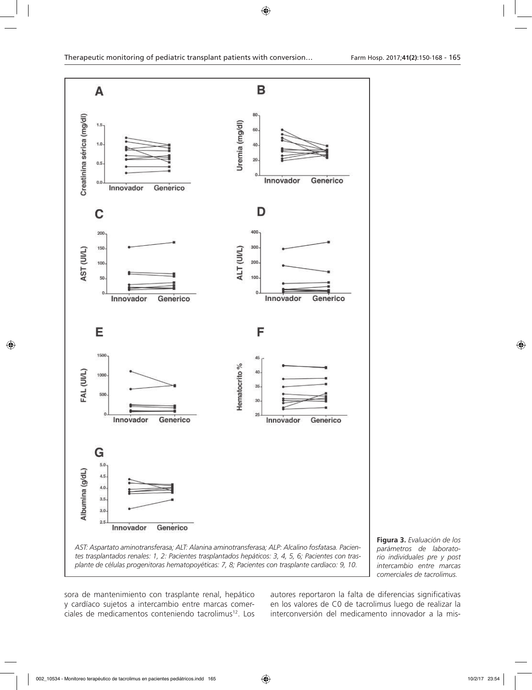

**Figura 3.** *Evaluación de los parámetros de laboratorio individuales pre y post intercambio entre marcas comerciales de tacrolimus.*

sora de mantenimiento con trasplante renal, hepático y cardíaco sujetos a intercambio entre marcas comerciales de medicamentos conteniendo tacrolimus<sup>12</sup>. Los autores reportaron la falta de diferencias significativas en los valores de C0 de tacrolimus luego de realizar la interconversión del medicamento innovador a la mis-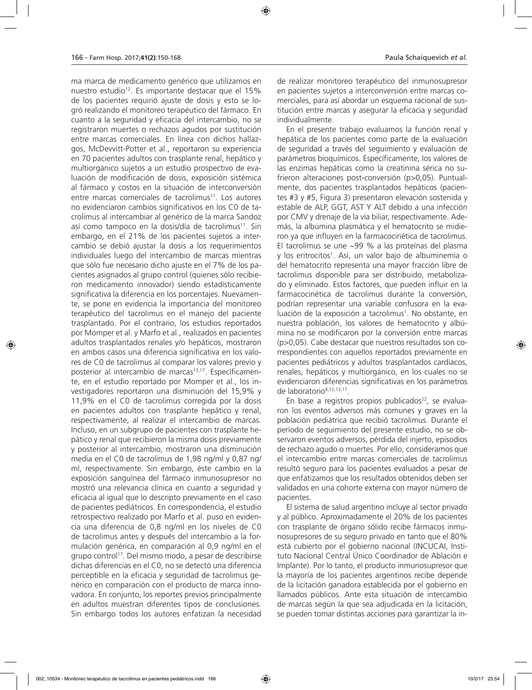ma marca de medicamento genérico que utilizamos en nuestro estudio<sup>12</sup>. Es importante destacar que el 15% de los pacientes requirió ajuste de dosis y esto se logró realizando el monitoreo terapéutico del fármaco. En cuanto a la seguridad y eficacia del intercambio, no se registraron muertes o rechazos agudos por sustitución entre marcas comerciales. En línea con dichos hallazgos, McDevvitt-Potter et al., reportaron su experiencia en 70 pacientes adultos con trasplante renal, hepático y multiorgánico sujetos a un estudio prospectivo de evaluación de modificación de dosis, exposición sistémica al fármaco y costos en la situación de interconversión entre marcas comerciales de tacrolimus<sup>11</sup>. Los autores no evidenciaron cambios significativos en los C0 de tacrolimus al intercambiar al genérico de la marca Sandoz así como tampoco en la dosis/día de tacrolimus<sup>11</sup>. Sin embargo, en el 21% de los pacientes sujetos a intercambio se debió ajustar la dosis a los requerimientos individuales luego del intercambio de marcas mientras que sólo fue necesario dicho ajuste en el 7% de los pacientes asignados al grupo control (quienes sólo recibieron medicamento innovador) siendo estadísticamente significativa la diferencia en los porcentajes. Nuevamente, se pone en evidencia la importancia del monitoreo terapéutico del tacrolimus en el manejo del paciente trasplantado. Por el contrario, los estudios reportados por Momper et al. y Marfo et al., realizados en pacientes adultos trasplantados renales y/o hepáticos, mostraron en ambos casos una diferencia significativa en los valores de C0 de tacrolimus al comparar los valores previo y posterior al intercambio de marcas<sup>13,17</sup>. Específicamente, en el estudio reportado por Momper et al., los investigadores reportaron una disminución del 15,9% y 11,9% en el C0 de tacrolimus corregida por la dosis en pacientes adultos con trasplante hepático y renal, respectivamente, al realizar el intercambio de marcas. Incluso, en un subgrupo de pacientes con trasplante hepático y renal que recibieron la misma dosis previamente y posterior al intercambio, mostraron una disminución media en el C0 de tacrolimus de 1,98 ng/ml y 0,87 ng/ ml, respectivamente. Sin embargo, éste cambio en la exposición sanguínea del fármaco inmunosupresor no mostró una relevancia clínica en cuanto a seguridad y eficacia al igual que lo descripto previamente en el caso de pacientes pediátricos. En correspondencia, el estudio retrospectivo realizado por Marfo et al. puso en evidencia una diferencia de 0,8 ng/ml en los niveles de C0 de tacrolimus antes y después del intercambio a la formulación genérica, en comparación al 0,9 ng/ml en el grupo control<sup>17</sup>. Del mismo modo, a pesar de describirse dichas diferencias en el C0, no se detectó una diferencia perceptible en la eficacia y seguridad de tacrolimus genérico en comparación con el producto de marca innovadora. En conjunto, los reportes previos principalmente en adultos muestran diferentes tipos de conclusiones. Sin embargo todos los autores enfatizan la necesidad

de realizar monitoreo terapéutico del inmunosupresor en pacientes sujetos a interconversión entre marcas comerciales, para así abordar un esquema racional de sustitución entre marcas y asegurar la eficacia y seguridad individualmente.

En el presente trabajo evaluamos la función renal y hepática de los pacientes como parte de la evaluación de seguridad a través del seguimiento y evaluación de parámetros bioquímicos. Específicamente, los valores de las enzimas hepáticas como la creatinina sérica no sufrieron alteraciones post-conversión (p>0,05). Puntualmente, dos pacientes trasplantados hepáticos (pacientes #3 y #5, Figura 3) presentaron elevación sostenida y estable de ALP, GGT, AST Y ALT debido a una infección por CMV y drenaje de la vía biliar, respectivamente. Además, la albúmina plasmática y el hematocrito se midieron ya que influyen en la farmacocinética de tacrolimus. El tacrolimus se une ~99 % a las proteínas del plasma y los eritrocitos<sup>1</sup>. Así, un valor bajo de albuminemia o del hematocrito representa una mayor fracción libre de tacrolimus disponible para ser distribuido, metabolizado y eliminado. Estos factores, que pueden influir en la farmacocinética de tacrolimus durante la conversión, podrían representar una variable confusora en la evaluación de la exposición a tacrolimus<sup>1</sup>. No obstante, en nuestra población, los valores de hematocrito y albúmina no se modificaron por la conversión entre marcas (p>0,05). Cabe destacar que nuestros resultados son correspondientes con aquellos reportados previamente en pacientes pediátricos y adultos trasplantados cardíacos, renales, hepáticos y multiorgánico, en los cuales no se evidenciaron diferencias significativas en los parámetros de laboratorio8,12,13,17.

En base a registros propios publicados<sup>22</sup>, se evaluaron los eventos adversos más comunes y graves en la población pediátrica que recibió tacrolimus. Durante el período de seguimiento del presente estudio, no se observaron eventos adversos, pérdida del injerto, episodios de rechazo agudo o muertes. Por ello, consideramos que el intercambio entre marcas comerciales de tacrolimus resultó seguro para los pacientes evaluados a pesar de que enfatizamos que los resultados obtenidos deben ser validados en una cohorte externa con mayor número de pacientes.

El sistema de salud argentino incluye al sector privado y al público. Aproximadamente el 20% de los pacientes con trasplante de órgano sólido recibe fármacos inmunosupresores de su seguro privado en tanto que el 80% está cubierto por el gobierno nacional (INCUCAI, Instituto Nacional Central Único Coordinador de Ablación e Implante). Por lo tanto, el producto inmunosupresor que la mayoría de los pacientes argentinos recibe depende de la licitación ganadora establecida por el gobierno en llamados públicos. Ante esta situación de intercambio de marcas según la que sea adjudicada en la licitación, se pueden tomar distintas acciones para garantizar la in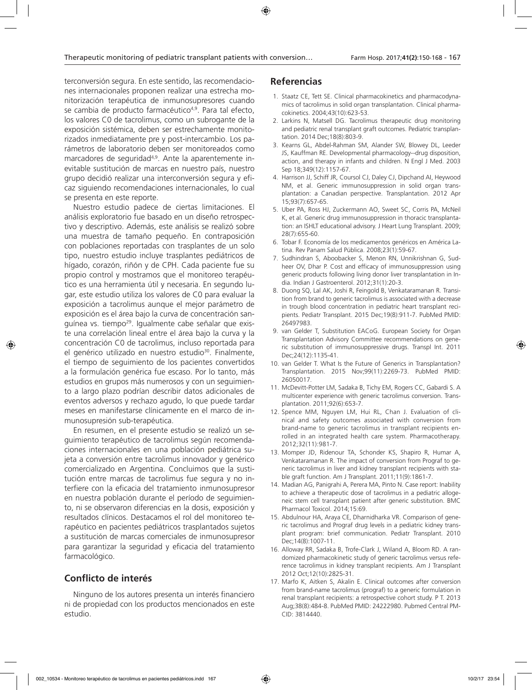terconversión segura. En este sentido, las recomendaciones internacionales proponen realizar una estrecha monitorización terapéutica de inmunosupresores cuando se cambia de producto farmacéutico<sup>4,9</sup>. Para tal efecto, los valores C0 de tacrolimus, como un subrogante de la exposición sistémica, deben ser estrechamente monitorizados inmediatamente pre y post-intercambio. Los parámetros de laboratorio deben ser monitoreados como marcadores de seguridad<sup>4,9</sup>. Ante la aparentemente inevitable sustitución de marcas en nuestro país, nuestro grupo decidió realizar una interconversión segura y eficaz siguiendo recomendaciones internacionales, lo cual se presenta en este reporte.

Nuestro estudio padece de ciertas limitaciones. El análisis exploratorio fue basado en un diseño retrospectivo y descriptivo. Además, este análisis se realizó sobre una muestra de tamaño pequeño. En contraposición con poblaciones reportadas con trasplantes de un solo tipo, nuestro estudio incluye trasplantes pediátricos de hígado, corazón, riñón y de CPH. Cada paciente fue su propio control y mostramos que el monitoreo terapéutico es una herramienta útil y necesaria. En segundo lugar, este estudio utiliza los valores de C0 para evaluar la exposición a tacrolimus aunque el mejor parámetro de exposición es el área bajo la curva de concentración sanguínea vs. tiempo<sup>29</sup>. Igualmente cabe señalar que existe una correlación lineal entre el área bajo la curva y la concentración C0 de tacrolimus, incluso reportada para el genérico utilizado en nuestro estudio<sup>30</sup>. Finalmente, el tiempo de seguimiento de los pacientes convertidos a la formulación genérica fue escaso. Por lo tanto, más estudios en grupos más numerosos y con un seguimiento a largo plazo podrían describir datos adicionales de eventos adversos y rechazo agudo, lo que puede tardar meses en manifestarse clínicamente en el marco de inmunosupresión sub-terapéutica.

En resumen, en el presente estudio se realizó un seguimiento terapéutico de tacrolimus según recomendaciones internacionales en una población pediátrica sujeta a conversión entre tacrolimus innovador y genérico comercializado en Argentina. Concluimos que la sustitución entre marcas de tacrolimus fue segura y no interfiere con la eficacia del tratamiento inmunosupresor en nuestra población durante el período de seguimiento, ni se observaron diferencias en la dosis, exposición y resultados clínicos. Destacamos el rol del monitoreo terapéutico en pacientes pediátricos trasplantados sujetos a sustitución de marcas comerciales de inmunosupresor para garantizar la seguridad y eficacia del tratamiento farmacológico.

# **Conflicto de interés**

Ninguno de los autores presenta un interés financiero ni de propiedad con los productos mencionados en este estudio.

# **Referencias**

- 1. Staatz CE, Tett SE. Clinical pharmacokinetics and pharmacodynamics of tacrolimus in solid organ transplantation. Clinical pharmacokinetics. 2004;43(10):623-53.
- 2. Larkins N, Matsell DG. Tacrolimus therapeutic drug monitoring and pediatric renal transplant graft outcomes. Pediatric transplantation. 2014 Dec;18(8):803-9.
- 3. Kearns GL, Abdel-Rahman SM, Alander SW, Blowey DL, Leeder JS, Kauffman RE. Developmental pharmacology--drug disposition, action, and therapy in infants and children. N Engl J Med. 2003 Sep 18;349(12):1157-67.
- 4. Harrison JJ, Schiff JR, Coursol CJ, Daley CJ, Dipchand AI, Heywood NM, et al. Generic immunosuppression in solid organ transplantation: a Canadian perspective. Transplantation. 2012 Apr 15;93(7):657-65.
- 5. Uber PA, Ross HJ, Zuckermann AO, Sweet SC, Corris PA, McNeil K, et al. Generic drug immunosuppression in thoracic transplantation: an ISHLT educational advisory. J Heart Lung Transplant. 2009; 28(7):655-60.
- 6. Tobar F. Economía de los medicamentos genéricos en América Latina. Rev Panam Salud Pública. 2008;23(1):59-67.
- 7. Sudhindran S, Aboobacker S, Menon RN, Unnikrishnan G, Sudheer OV, Dhar P. Cost and efficacy of immunosuppression using generic products following living donor liver transplantation in India. Indian J Gastroenterol. 2012;31(1):20-3.
- 8. Duong SQ, Lal AK, Joshi R, Feingold B, Venkataramanan R. Transition from brand to generic tacrolimus is associated with a decrease in trough blood concentration in pediatric heart transplant recipients. Pediatr Transplant. 2015 Dec;19(8):911-7. PubMed PMID: 26497983.
- 9. van Gelder T, Substitution EACoG. European Society for Organ Transplantation Advisory Committee recommendations on generic substitution of immunosuppressive drugs. Transpl Int. 2011 Dec;24(12):1135-41.
- 10. van Gelder T. What Is the Future of Generics in Transplantation? Transplantation. 2015 Nov;99(11):2269-73. PubMed PMID: 26050017.
- 11. McDevitt-Potter LM, Sadaka B, Tichy EM, Rogers CC, Gabardi S. A multicenter experience with generic tacrolimus conversion. Transplantation. 2011;92(6):653-7.
- 12. Spence MM, Nguyen LM, Hui RL, Chan J. Evaluation of clinical and safety outcomes associated with conversion from brand-name to generic tacrolimus in transplant recipients enrolled in an integrated health care system. Pharmacotherapy. 2012;32(11):981-7.
- 13. Momper JD, Ridenour TA, Schonder KS, Shapiro R, Humar A, Venkataramanan R. The impact of conversion from Prograf to generic tacrolimus in liver and kidney transplant recipients with stable graft function. Am J Transplant. 2011;11(9):1861-7.
- 14. Madian AG, Panigrahi A, Perera MA, Pinto N. Case report: Inability to achieve a therapeutic dose of tacrolimus in a pediatric allogeneic stem cell transplant patient after generic substitution. BMC Pharmacol Toxicol. 2014;15:69.
- 15. Abdulnour HA, Araya CE, Dharnidharka VR. Comparison of generic tacrolimus and Prograf drug levels in a pediatric kidney transplant program: brief communication. Pediatr Transplant. 2010 Dec;14(8):1007-11.
- 16. Alloway RR, Sadaka B, Trofe-Clark J, Wiland A, Bloom RD. A randomized pharmacokinetic study of generic tacrolimus versus reference tacrolimus in kidney transplant recipients. Am J Transplant 2012 Oct;12(10):2825-31.
- 17. Marfo K, Aitken S, Akalin E. Clinical outcomes after conversion from brand-name tacrolimus (prograf) to a generic formulation in renal transplant recipients: a retrospective cohort study. P T. 2013 Aug;38(8):484-8. PubMed PMID: 24222980. Pubmed Central PM-CID: 3814440.